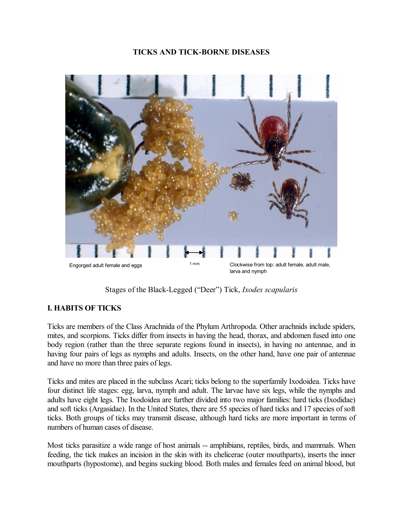## **TICKS AND TICK-BORNE DISEASES**



Stages of the BlackLegged ("Deer") Tick, *Ixodes scapularis*

## **I. HABITS OF TICKS**

Ticks are members of the Class Arachnida of the Phylum Arthropoda. Other arachnids include spiders, mites, and scorpions. Ticks differ from insects in having the head, thorax, and abdomen fused into one body region (rather than the three separate regions found in insects), in having no antennae, and in having four pairs of legs as nymphs and adults. Insects, on the other hand, have one pair of antennae and have no more than three pairs of legs.

Ticks and mites are placed in the subclass Acari; ticks belong to the superfamily Ixodoidea. Ticks have four distinct life stages: egg, larva, nymph and adult. The larvae have six legs, while the nymphs and adults have eight legs. The Ixodoidea are further divided into two major families: hard ticks (Ixodidae) and soft ticks (Argasidae). In the United States, there are 55 species of hard ticks and 17 species of soft ticks. Both groups of ticks may transmit disease, although hard ticks are more important in terms of numbers of human cases of disease.

Most ticks parasitize a wide range of host animals -- amphibians, reptiles, birds, and mammals. When feeding, the tick makes an incision in the skin with its chelicerae (outer mouthparts), inserts the inner mouthparts (hypostome), and begins sucking blood. Both males and females feed on animal blood, but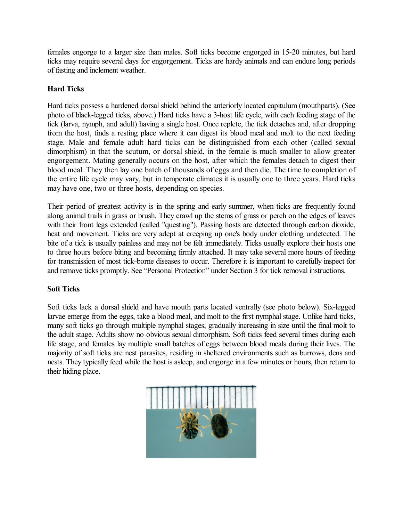females engorge to a larger size than males. Soft ticks become engorged in 1520 minutes, but hard ticks may require several days for engorgement. Ticks are hardy animals and can endure long periods of fasting and inclement weather.

## **Hard Ticks**

Hard ticks possess a hardened dorsal shield behind the anteriorly located capitulum (mouthparts). (See photo of black-legged ticks, above.) Hard ticks have a 3-host life cycle, with each feeding stage of the tick (larva, nymph, and adult) having a single host. Once replete, the tick detaches and, after dropping from the host, finds a resting place where it can digest its blood meal and molt to the next feeding stage. Male and female adult hard ticks can be distinguished from each other (called sexual dimorphism) in that the scutum, or dorsal shield, in the female is much smaller to allow greater engorgement. Mating generally occurs on the host, after which the females detach to digest their blood meal. They then lay one batch of thousands of eggs and then die. The time to completion of the entire life cycle may vary, but in temperate climates it is usually one to three years. Hard ticks may have one, two or three hosts, depending on species.

Their period of greatest activity is in the spring and early summer, when ticks are frequently found along animal trails in grass or brush. They crawl up the stems of grass or perch on the edges of leaves with their front legs extended (called "questing"). Passing hosts are detected through carbon dioxide, heat and movement. Ticks are very adept at creeping up one's body under clothing undetected. The bite of a tick is usually painless and may not be felt immediately. Ticks usually explore their hosts one to three hours before biting and becoming firmly attached. It may take several more hours of feeding for transmission of most tick-borne diseases to occur. Therefore it is important to carefully inspect for and remove ticks promptly. See "Personal Protection" under Section 3 for tick removal instructions.

## **Soft Ticks**

Soft ticks lack a dorsal shield and have mouth parts located ventrally (see photo below). Six-legged larvae emerge from the eggs, take a blood meal, and molt to the first nymphal stage. Unlike hard ticks, many soft ticks go through multiple nymphal stages, gradually increasing in size until the final molt to the adult stage. Adults show no obvious sexual dimorphism. Soft ticks feed several times during each life stage, and females lay multiple small batches of eggs between blood meals during their lives. The majority of soft ticks are nest parasites, residing in sheltered environments such as burrows, dens and nests. They typically feed while the host is asleep, and engorge in a few minutes or hours, then return to their hiding place.

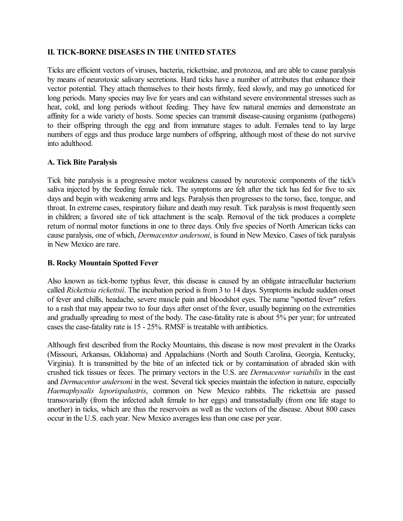## **II. TICK-BORNE DISEASES IN THE UNITED STATES**

Ticks are efficient vectors of viruses, bacteria, rickettsiae, and protozoa, and are able to cause paralysis by means of neurotoxic salivary secretions. Hard ticks have a number of attributes that enhance their vector potential. They attach themselves to their hosts firmly, feed slowly, and may go unnoticed for long periods. Many species may live for years and can withstand severe environmental stresses such as heat, cold, and long periods without feeding. They have few natural enemies and demonstrate an affinity for a wide variety of hosts. Some species can transmit disease-causing organisms (pathogens) to their offspring through the egg and from immature stages to adult. Females tend to lay large numbers of eggs and thus produce large numbers of offspring, although most of these do not survive into adulthood.

#### **A. Tick Bite Paralysis**

Tick bite paralysis is a progressive motor weakness caused by neurotoxic components of the tick's saliva injected by the feeding female tick. The symptoms are felt after the tick has fed for five to six days and begin with weakening arms and legs. Paralysis then progresses to the torso, face, tongue, and throat. In extreme cases, respiratory failure and death may result. Tick paralysis is most frequently seen in children; a favored site of tick attachment is the scalp. Removal of the tick produces a complete return of normal motor functions in one to three days. Only five species of North American ticks can cause paralysis, one of which, *Dermacentor andersoni*, is found in New Mexico. Cases of tick paralysis in New Mexico are rare.

## **B. Rocky Mountain Spotted Fever**

Also known as tick-borne typhus fever, this disease is caused by an obligate intracellular bacterium called *Rickettsia rickettsii*. The incubation period is from 3 to 14 days. Symptoms include sudden onset of fever and chills, headache, severe muscle pain and bloodshot eyes. The name "spotted fever" refers to a rash that may appear two to four days after onset of the fever, usually beginning on the extremities and gradually spreading to most of the body. The case-fatality rate is about 5% per year; for untreated cases the case-fatality rate is  $15 - 25\%$ . RMSF is treatable with antibiotics.

Although first described from the Rocky Mountains, this disease is now most prevalent in the Ozarks (Missouri, Arkansas, Oklahoma) and Appalachians (North and South Carolina, Georgia, Kentucky, Virginia). It is transmitted by the bite of an infected tick or by contamination of abraded skin with crushed tick tissues or feces. The primary vectors in the U.S. are *Dermacentor variabilis* in the east and *Dermacentor andersoni* in the west. Several tick species maintain the infection in nature, especially *Haemaphysalis leporispalustris*, common on New Mexico rabbits. The rickettsia are passed transovarially (from the infected adult female to her eggs) and transstadially (from one life stage to another) in ticks, which are thus the reservoirs as well as the vectors of the disease. About 800 cases occur in the U.S. each year. New Mexico averages less than one case per year.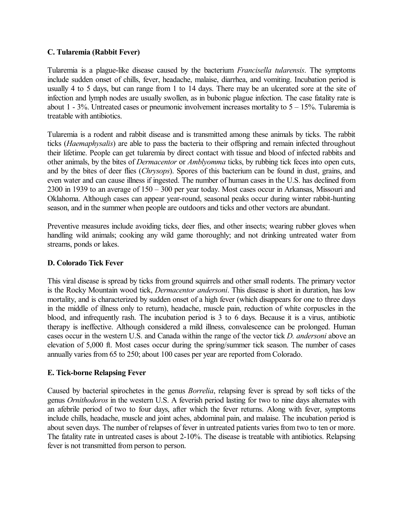#### **C. Tularemia (Rabbit Fever)**

Tularemia is a plague-like disease caused by the bacterium *Francisella tularensis*. The symptoms include sudden onset of chills, fever, headache, malaise, diarrhea, and vomiting. Incubation period is usually 4 to 5 days, but can range from 1 to 14 days. There may be an ulcerated sore at the site of infection and lymph nodes are usually swollen, as in bubonic plague infection. The case fatality rate is about 1 - 3%. Untreated cases or pneumonic involvement increases mortality to  $5 - 15$ %. Tularemia is treatable with antibiotics.

Tularemia is a rodent and rabbit disease and is transmitted among these animals by ticks. The rabbit ticks (*Haemaphysalis*) are able to pass the bacteria to their offspring and remain infected throughout their lifetime. People can get tularemia by direct contact with tissue and blood of infected rabbits and other animals, by the bites of *Dermacentor* or *Amblyomma* ticks, by rubbing tick feces into open cuts, and by the bites of deer flies (*Chrysops*). Spores of this bacterium can be found in dust, grains, and even water and can cause illness if ingested. The number of human cases in the U.S. has declined from 2300 in 1939 to an average of 150 – 300 per year today. Most cases occur in Arkansas, Missouri and Oklahoma. Although cases can appear year-round, seasonal peaks occur during winter rabbit-hunting season, and in the summer when people are outdoors and ticks and other vectors are abundant.

Preventive measures include avoiding ticks, deer flies, and other insects; wearing rubber gloves when handling wild animals; cooking any wild game thoroughly; and not drinking untreated water from streams, ponds or lakes.

## **D. Colorado Tick Fever**

This viral disease is spread by ticks from ground squirrels and other small rodents. The primary vector is the Rocky Mountain wood tick, *Dermacentor andersoni*. This disease is short in duration, has low mortality, and is characterized by sudden onset of a high fever (which disappears for one to three days in the middle of illness only to return), headache, muscle pain, reduction of white corpuscles in the blood, and infrequently rash. The incubation period is 3 to 6 days. Because it is a virus, antibiotic therapy is ineffective. Although considered a mild illness, convalescence can be prolonged. Human cases occur in the western U.S. and Canada within the range of the vector tick *D. andersoni* above an elevation of 5,000 ft. Most cases occur during the spring/summer tick season. The number of cases annually varies from 65 to 250; about 100 cases per year are reported from Colorado.

## **E.** Tick-borne Relapsing Fever

Caused by bacterial spirochetes in the genus *Borrelia*, relapsing fever is spread by soft ticks of the genus *Ornithodoros* in the western U.S. A feverish period lasting for two to nine days alternates with an afebrile period of two to four days, after which the fever returns. Along with fever, symptoms include chills, headache, muscle and joint aches, abdominal pain, and malaise. The incubation period is about seven days. The number of relapses of fever in untreated patients varies from two to ten or more. The fatality rate in untreated cases is about 2-10%. The disease is treatable with antibiotics. Relapsing fever is not transmitted from person to person.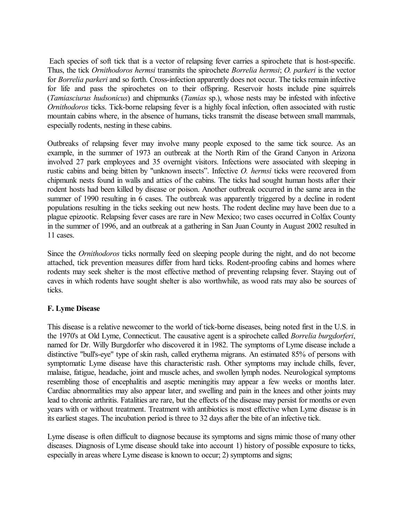Each species of soft tick that is a vector of relapsing fever carries a spirochete that is host-specific. Thus, the tick *Ornithodoros hermsi* transmits the spirochete *Borrelia hermsi*; *O. parkeri* is the vector for *Borrelia parkeri* and so forth. Cross-infection apparently does not occur. The ticks remain infective for life and pass the spirochetes on to their offspring. Reservoir hosts include pine squirrels (*Tamiasciurus hudsonicus*) and chipmunks (*Tamias* sp.), whose nests may be infested with infective *Ornithodoros* ticks. Tick-borne relapsing fever is a highly focal infection, often associated with rustic mountain cabins where, in the absence of humans, ticks transmit the disease between small mammals, especially rodents, nesting in these cabins.

Outbreaks of relapsing fever may involve many people exposed to the same tick source. As an example, in the summer of 1973 an outbreak at the North Rim of the Grand Canyon in Arizona involved 27 park employees and 35 overnight visitors. Infections were associated with sleeping in rustic cabins and being bitten by "unknown insects". Infective *O. hermsi* ticks were recovered from chipmunk nests found in walls and attics of the cabins. The ticks had sought human hosts after their rodent hosts had been killed by disease or poison. Another outbreak occurred in the same area in the summer of 1990 resulting in 6 cases. The outbreak was apparently triggered by a decline in rodent populations resulting in the ticks seeking out new hosts. The rodent decline may have been due to a plague epizootic. Relapsing fever cases are rare in New Mexico; two cases occurred in Colfax County in the summer of 1996, and an outbreak at a gathering in San Juan County in August 2002 resulted in 11 cases.

Since the *Ornithodoros* ticks normally feed on sleeping people during the night, and do not become attached, tick prevention measures differ from hard ticks. Rodent-proofing cabins and homes where rodents may seek shelter is the most effective method of preventing relapsing fever. Staying out of caves in which rodents have sought shelter is also worthwhile, as wood rats may also be sources of ticks.

## **F. Lyme Disease**

This disease is a relative newcomer to the world of tick-borne diseases, being noted first in the U.S. in the 1970's at Old Lyme, Connecticut. The causative agent is a spirochete called *Borrelia burgdorferi*, named for Dr. Willy Burgdorfer who discovered it in 1982. The symptoms of Lyme disease include a distinctive "bull's-eye" type of skin rash, called erythema migrans. An estimated 85% of persons with symptomatic Lyme disease have this characteristic rash. Other symptoms may include chills, fever, malaise, fatigue, headache, joint and muscle aches, and swollen lymph nodes. Neurological symptoms resembling those of encephalitis and aseptic meningitis may appear a few weeks or months later. Cardiac abnormalities may also appear later, and swelling and pain in the knees and other joints may lead to chronic arthritis. Fatalities are rare, but the effects of the disease may persist for months or even years with or without treatment. Treatment with antibiotics is most effective when Lyme disease is in its earliest stages. The incubation period is three to 32 days after the bite of an infective tick.

Lyme disease is often difficult to diagnose because its symptoms and signs mimic those of many other diseases. Diagnosis of Lyme disease should take into account 1) history of possible exposure to ticks, especially in areas where Lyme disease is known to occur; 2) symptoms and signs;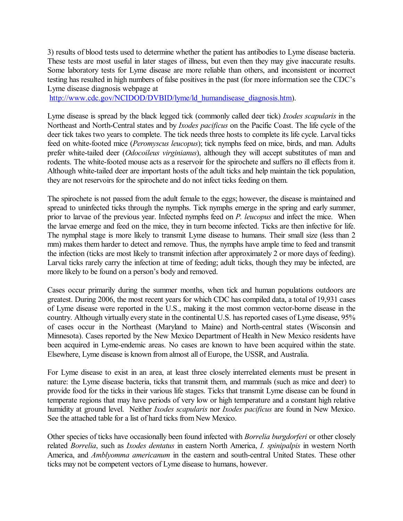3) results of blood tests used to determine whether the patient has antibodies to Lyme disease bacteria. These tests are most useful in later stages of illness, but even then they may give inaccurate results. Some laboratory tests for Lyme disease are more reliable than others, and inconsistent or incorrect testing has resulted in high numbers of false positives in the past (for more information see the CDC's Lyme disease diagnosis webpage at

[http://www.cdc.gov/NCIDOD/DVBID/lyme/ld\\_humandisease\\_diagnosis.htm\)](http://www.cdc.gov/NCIDOD/DVBID/lyme/ld_humandisease_diagnosis.htm).

Lyme disease is spread by the black legged tick (commonly called deer tick) *Ixodes scapularis* in the Northeast and North-Central states and by *Ixodes pacificus* on the Pacific Coast. The life cycle of the deer tick takes two years to complete. The tick needs three hosts to complete its life cycle. Larval ticks feed on white-footed mice (*Peromyscus leucopus*); tick nymphs feed on mice, birds, and man. Adults prefer white-tailed deer (*Odocoileus virginianus*), although they will accept substitutes of man and rodents. The white-footed mouse acts as a reservoir for the spirochete and suffers no ill effects from it. Although white-tailed deer are important hosts of the adult ticks and help maintain the tick population, they are not reservoirs for the spirochete and do not infect ticks feeding on them.

The spirochete is not passed from the adult female to the eggs; however, the disease is maintained and spread to uninfected ticks through the nymphs. Tick nymphs emerge in the spring and early summer, prior to larvae of the previous year. Infected nymphs feed on *P. leucopus* and infect the mice. When the larvae emerge and feed on the mice, they in turn become infected. Ticks are then infective for life. The nymphal stage is more likely to transmit Lyme disease to humans. Their small size (less than 2 mm) makes them harder to detect and remove. Thus, the nymphs have ample time to feed and transmit the infection (ticks are most likely to transmit infection after approximately 2 or more days of feeding). Larval ticks rarely carry the infection at time of feeding; adult ticks, though they may be infected, are more likely to be found on a person's body and removed.

Cases occur primarily during the summer months, when tick and human populations outdoors are greatest. During 2006, the most recent years for which CDC has compiled data, a total of 19,931 cases of Lyme disease were reported in the U.S., making it the most common vector-borne disease in the country. Although virtually every state in the continental U.S. has reported cases of Lyme disease, 95% of cases occur in the Northeast (Maryland to Maine) and North-central states (Wisconsin and Minnesota). Cases reported by the New Mexico Department of Health in New Mexico residents have been acquired in Lyme-endemic areas. No cases are known to have been acquired within the state. Elsewhere, Lyme disease is known from almost all of Europe, the USSR, and Australia.

For Lyme disease to exist in an area, at least three closely interrelated elements must be present in nature: the Lyme disease bacteria, ticks that transmit them, and mammals (such as mice and deer) to provide food for the ticks in their various life stages. Ticks that transmit Lyme disease can be found in temperate regions that may have periods of very low or high temperature and a constant high relative humidity at ground level. Neither *Ixodes scapularis* nor *Ixodes pacificus* are found in New Mexico. See the attached table for a list of hard ticks from New Mexico.

Other species of ticks have occasionally been found infected with *Borrelia burgdorferi* or other closely related *Borrelia*, such as *Ixodes dentatus* in eastern North America, *I. spinipalpis* in western North America, and *Amblyomma americanum* in the eastern and south-central United States. These other ticks may not be competent vectors of Lyme disease to humans, however.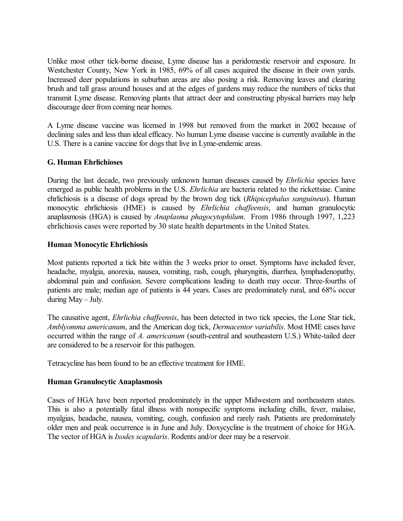Unlike most other tick-borne disease, Lyme disease has a peridomestic reservoir and exposure. In Westchester County, New York in 1985, 69% of all cases acquired the disease in their own yards. Increased deer populations in suburban areas are also posing a risk. Removing leaves and clearing brush and tall grass around houses and at the edges of gardens may reduce the numbers of ticks that transmit Lyme disease. Removing plants that attract deer and constructing physical barriers may help discourage deer from coming near homes.

A Lyme disease vaccine was licensed in 1998 but removed from the market in 2002 because of declining sales and less than ideal efficacy. No human Lyme disease vaccine is currently available in the U.S. There is a canine vaccine for dogs that live in Lyme-endemic areas.

#### **G. Human Ehrlichioses**

During the last decade, two previously unknown human diseases caused by *Ehrlichia* species have emerged as public health problems in the U.S. *Ehrlichia* are bacteria related to the rickettsiae. Canine ehrlichiosis is a disease of dogs spread by the brown dog tick (*Rhipicephalus sanguineus*). Human monocytic ehrlichiosis (HME) is caused by *Ehrlichia chaffeensis*, and human granulocytic anaplasmosis (HGA) is caused by *Anaplasma phagocytophilum*. From 1986 through 1997, 1,223 ehrlichiosis cases were reported by 30 state health departments in the United States.

#### **Human Monocytic Ehrlichiosis**

Most patients reported a tick bite within the 3 weeks prior to onset. Symptoms have included fever, headache, myalgia, anorexia, nausea, vomiting, rash, cough, pharyngitis, diarrhea, lymphadenopathy, abdominal pain and confusion. Severe complications leading to death may occur. Three-fourths of patients are male; median age of patients is 44 years. Cases are predominately rural, and 68% occur during May – July.

The causative agent, *Ehrlichia chaffeensis*, has been detected in two tick species, the Lone Star tick, *Amblyomma americanum*, and the American dog tick, *Dermacentor variabilis*. Most HME cases have occurred within the range of *A. americanum* (south-central and southeastern U.S.) White-tailed deer are considered to be a reservoir for this pathogen.

Tetracycline has been found to be an effective treatment for HME.

## **Human Granulocytic Anaplasmosis**

Cases of HGA have been reported predominately in the upper Midwestern and northeastern states. This is also a potentially fatal illness with nonspecific symptoms including chills, fever, malaise, myalgias, headache, nausea, vomiting, cough, confusion and rarely rash. Patients are predominately older men and peak occurrence is in June and July. Doxycycline is the treatment of choice for HGA. The vector of HGA is *Ixodes scapularis*. Rodents and/or deer may be a reservoir.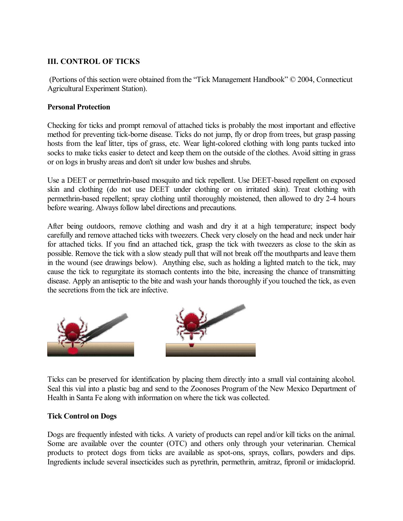## **III. CONTROL OF TICKS**

(Portions of this section were obtained from the "Tick Management Handbook" © 2004, Connecticut Agricultural Experiment Station).

## **Personal Protection**

Checking for ticks and prompt removal of attached ticks is probably the most important and effective method for preventing tick-borne disease. Ticks do not jump, fly or drop from trees, but grasp passing hosts from the leaf litter, tips of grass, etc. Wear light-colored clothing with long pants tucked into socks to make ticks easier to detect and keep them on the outside of the clothes. Avoid sitting in grass or on logs in brushy areas and don't sit under low bushes and shrubs.

Use a DEET or permethrin-based mosquito and tick repellent. Use DEET-based repellent on exposed skin and clothing (do not use DEET under clothing or on irritated skin). Treat clothing with permethrin-based repellent; spray clothing until thoroughly moistened, then allowed to dry 2-4 hours before wearing. Always follow label directions and precautions.

After being outdoors, remove clothing and wash and dry it at a high temperature; inspect body carefully and remove attached ticks with tweezers. Check very closely on the head and neck under hair for attached ticks. If you find an attached tick, grasp the tick with tweezers as close to the skin as possible. Remove the tick with a slow steady pull that will not break off the mouthparts and leave them in the wound (see drawings below). Anything else, such as holding a lighted match to the tick, may cause the tick to regurgitate its stomach contents into the bite, increasing the chance of transmitting disease. Apply an antiseptic to the bite and wash your hands thoroughly if you touched the tick, as even the secretions from the tick are infective.



Ticks can be preserved for identification by placing them directly into a small vial containing alcohol. Seal this vial into a plastic bag and send to the Zoonoses Program of the New Mexico Department of Health in Santa Fe along with information on where the tick was collected.

#### **Tick Control on Dogs**

Dogs are frequently infested with ticks. A variety of products can repel and/or kill ticks on the animal. Some are available over the counter (OTC) and others only through your veterinarian. Chemical products to protect dogs from ticks are available as spot-ons, sprays, collars, powders and dips. Ingredients include several insecticides such as pyrethrin, permethrin, amitraz, fipronil or imidacloprid.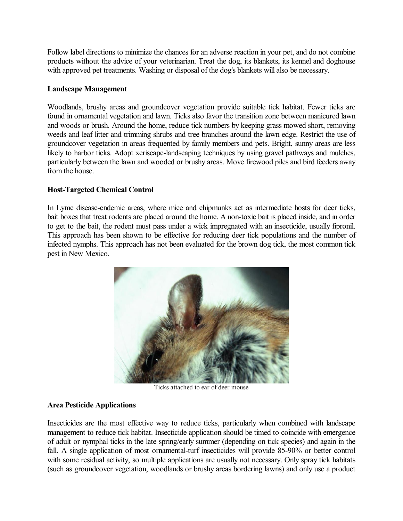Follow label directions to minimize the chances for an adverse reaction in your pet, and do not combine products without the advice of your veterinarian. Treat the dog, its blankets, its kennel and doghouse with approved pet treatments. Washing or disposal of the dog's blankets will also be necessary.

## **Landscape Management**

Woodlands, brushy areas and groundcover vegetation provide suitable tick habitat. Fewer ticks are found in ornamental vegetation and lawn. Ticks also favor the transition zone between manicured lawn and woods or brush. Around the home, reduce tick numbers by keeping grass mowed short, removing weeds and leaf litter and trimming shrubs and tree branches around the lawn edge. Restrict the use of groundcover vegetation in areas frequented by family members and pets. Bright, sunny areas are less likely to harbor ticks. Adopt xeriscape-landscaping techniques by using gravel pathways and mulches, particularly between the lawn and wooded or brushy areas. Move firewood piles and bird feeders away from the house.

#### **Host-Targeted Chemical Control**

In Lyme disease-endemic areas, where mice and chipmunks act as intermediate hosts for deer ticks, bait boxes that treat rodents are placed around the home. A non-toxic bait is placed inside, and in order to get to the bait, the rodent must pass under a wick impregnated with an insecticide, usually fipronil. This approach has been shown to be effective for reducing deer tick populations and the number of infected nymphs. This approach has not been evaluated for the brown dog tick, the most common tick pest in New Mexico.



Ticks attached to ear of deer mouse

## **Area Pesticide Applications**

Insecticides are the most effective way to reduce ticks, particularly when combined with landscape management to reduce tick habitat. Insecticide application should be timed to coincide with emergence of adult or nymphal ticks in the late spring/early summer (depending on tick species) and again in the fall. A single application of most ornamental-turf insecticides will provide 85-90% or better control with some residual activity, so multiple applications are usually not necessary. Only spray tick habitats (such as groundcover vegetation, woodlands or brushy areas bordering lawns) and only use a product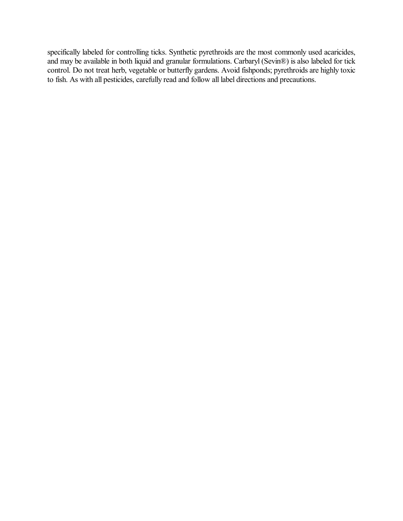specifically labeled for controlling ticks. Synthetic pyrethroids are the most commonly used acaricides, and may be available in both liquid and granular formulations. Carbaryl (Sevin®) is also labeled for tick control. Do not treat herb, vegetable or butterfly gardens. Avoid fishponds; pyrethroids are highly toxic to fish. As with all pesticides, carefully read and follow all label directions and precautions.